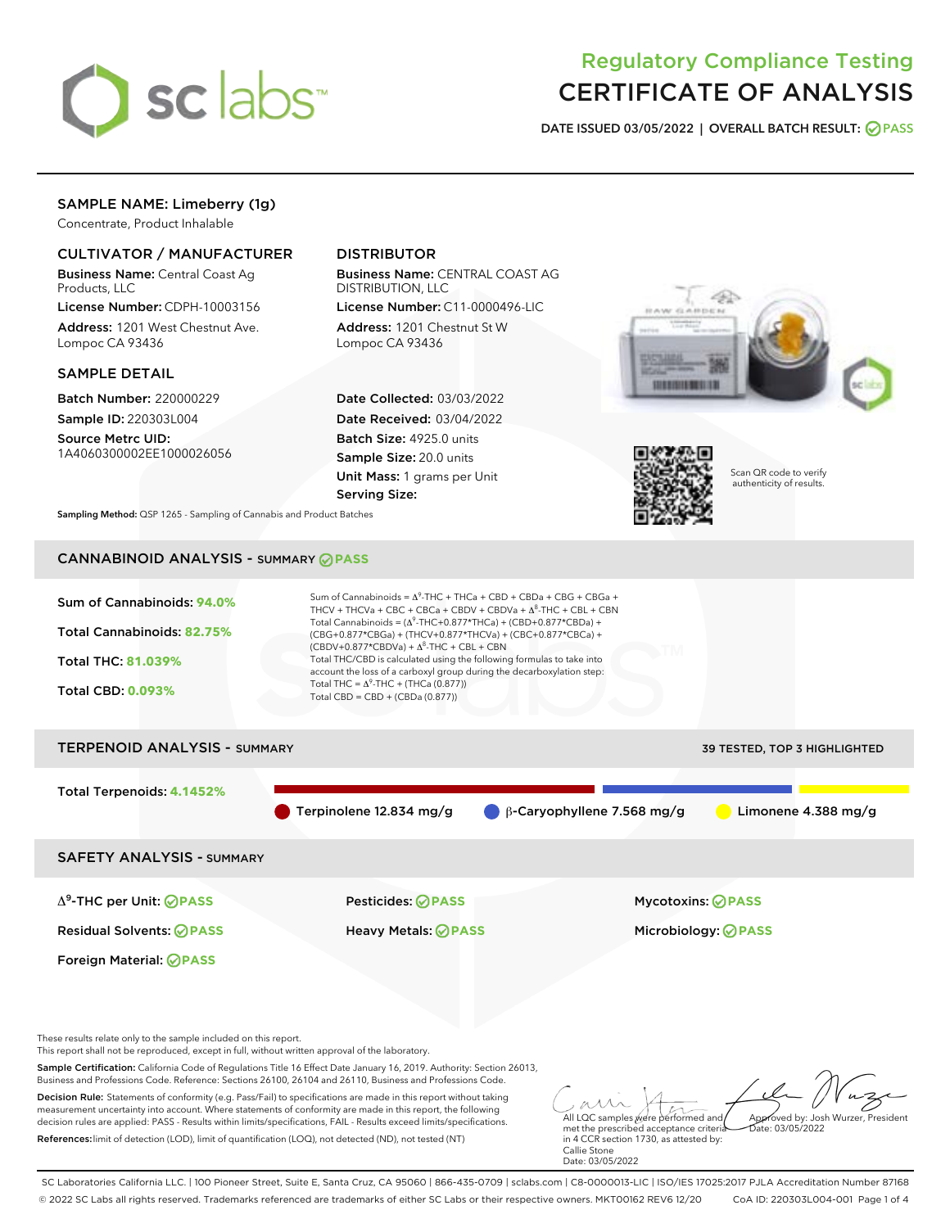

# Regulatory Compliance Testing CERTIFICATE OF ANALYSIS

DATE ISSUED 03/05/2022 | OVERALL BATCH RESULT: @ PASS

# SAMPLE NAME: Limeberry (1g)

Concentrate, Product Inhalable

# CULTIVATOR / MANUFACTURER

Business Name: Central Coast Ag Products, LLC

License Number: CDPH-10003156 Address: 1201 West Chestnut Ave. Lompoc CA 93436

## SAMPLE DETAIL

Batch Number: 220000229 Sample ID: 220303L004

Source Metrc UID: 1A4060300002EE1000026056

# DISTRIBUTOR

Business Name: CENTRAL COAST AG DISTRIBUTION, LLC

License Number: C11-0000496-LIC Address: 1201 Chestnut St W Lompoc CA 93436

Date Collected: 03/03/2022 Date Received: 03/04/2022 Batch Size: 4925.0 units Sample Size: 20.0 units Unit Mass: 1 grams per Unit Serving Size:





Scan QR code to verify authenticity of results.

Sampling Method: QSP 1265 - Sampling of Cannabis and Product Batches

# CANNABINOID ANALYSIS - SUMMARY **PASS**



Business and Professions Code. Reference: Sections 26100, 26104 and 26110, Business and Professions Code. Decision Rule: Statements of conformity (e.g. Pass/Fail) to specifications are made in this report without taking measurement uncertainty into account. Where statements of conformity are made in this report, the following decision rules are applied: PASS - Results within limits/specifications, FAIL - Results exceed limits/specifications. References:limit of detection (LOD), limit of quantification (LOQ), not detected (ND), not tested (NT)

All LQC samples were performed and met the prescribed acceptance criteria Approved by: Josh Wurzer, President  $\frac{1}{2}$  03/05/2022

in 4 CCR section 1730, as attested by: Callie Stone Date: 03/05/2022

SC Laboratories California LLC. | 100 Pioneer Street, Suite E, Santa Cruz, CA 95060 | 866-435-0709 | sclabs.com | C8-0000013-LIC | ISO/IES 17025:2017 PJLA Accreditation Number 87168 © 2022 SC Labs all rights reserved. Trademarks referenced are trademarks of either SC Labs or their respective owners. MKT00162 REV6 12/20 CoA ID: 220303L004-001 Page 1 of 4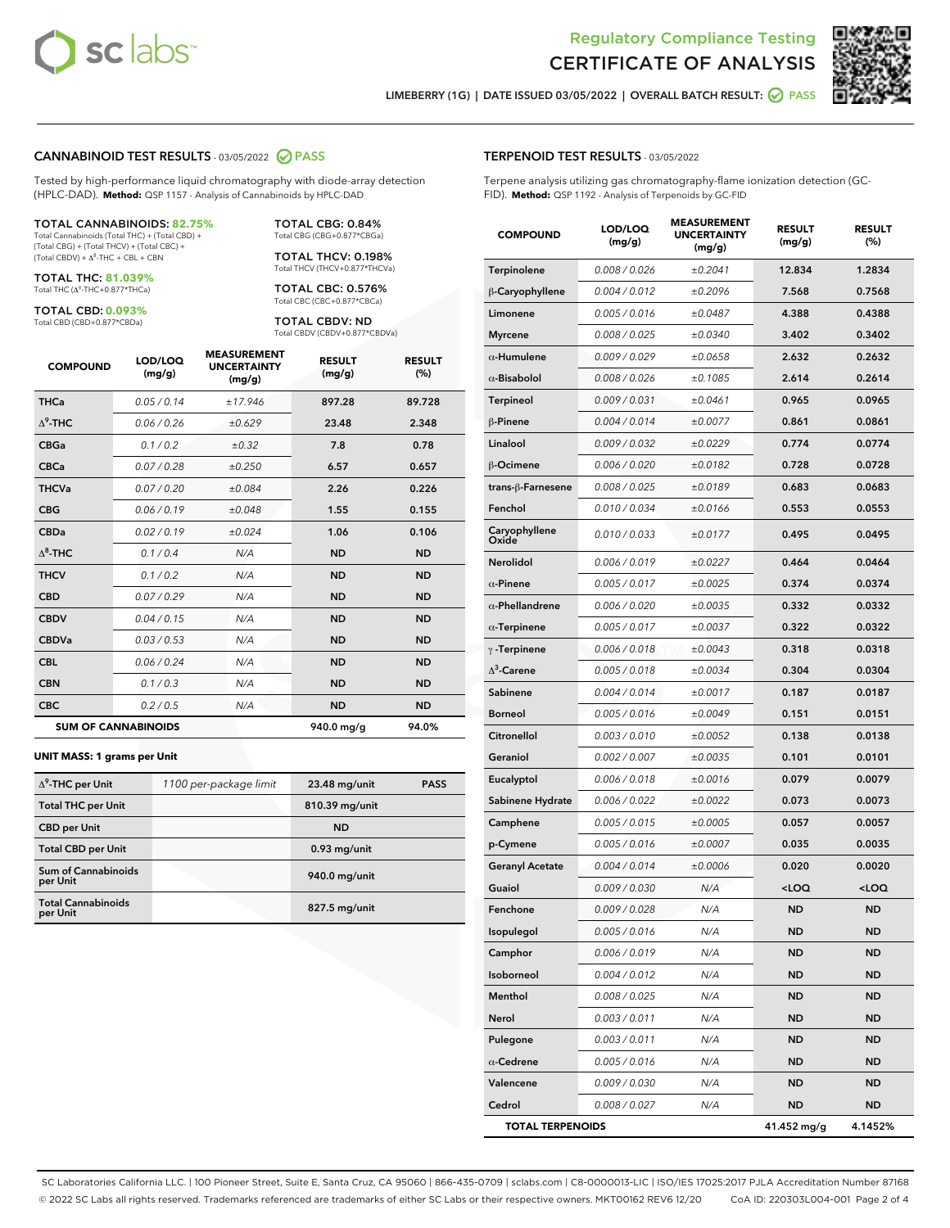



LIMEBERRY (1G) | DATE ISSUED 03/05/2022 | OVERALL BATCH RESULT: 0 PASS

#### CANNABINOID TEST RESULTS - 03/05/2022 2 PASS

Tested by high-performance liquid chromatography with diode-array detection (HPLC-DAD). **Method:** QSP 1157 - Analysis of Cannabinoids by HPLC-DAD

#### TOTAL CANNABINOIDS: **82.75%**

Total Cannabinoids (Total THC) + (Total CBD) + (Total CBG) + (Total THCV) + (Total CBC) +  $(Total CBDV) +  $\Delta^8$ -THC + CBL + CBN$ 

TOTAL THC: **81.039%** Total THC (Δ<sup>9</sup> -THC+0.877\*THCa)

TOTAL CBD: **0.093%** Total CBD (CBD+0.877\*CBDa)

TOTAL CBG: 0.84% Total CBG (CBG+0.877\*CBGa)

TOTAL THCV: 0.198% Total THCV (THCV+0.877\*THCVa)

TOTAL CBC: 0.576% Total CBC (CBC+0.877\*CBCa)

TOTAL CBDV: ND Total CBDV (CBDV+0.877\*CBDVa)

| <b>COMPOUND</b>  | LOD/LOQ<br>(mg/g)          | <b>MEASUREMENT</b><br><b>UNCERTAINTY</b><br>(mg/g) | <b>RESULT</b><br>(mg/g) | <b>RESULT</b><br>(%) |
|------------------|----------------------------|----------------------------------------------------|-------------------------|----------------------|
| <b>THCa</b>      | 0.05 / 0.14                | ±17.946                                            | 897.28                  | 89.728               |
| $\Delta^9$ -THC  | 0.06 / 0.26                | ±0.629                                             | 23.48                   | 2.348                |
| <b>CBGa</b>      | 0.1 / 0.2                  | $\pm 0.32$                                         | 7.8                     | 0.78                 |
| <b>CBCa</b>      | 0.07 / 0.28                | ±0.250                                             | 6.57                    | 0.657                |
| <b>THCVa</b>     | 0.07 / 0.20                | ±0.084                                             | 2.26                    | 0.226                |
| <b>CBG</b>       | 0.06 / 0.19                | ±0.048                                             | 1.55                    | 0.155                |
| <b>CBDa</b>      | 0.02/0.19                  | ±0.024                                             | 1.06                    | 0.106                |
| $\Lambda^8$ -THC | 0.1/0.4                    | N/A                                                | <b>ND</b>               | <b>ND</b>            |
| <b>THCV</b>      | 0.1 / 0.2                  | N/A                                                | <b>ND</b>               | <b>ND</b>            |
| <b>CBD</b>       | 0.07/0.29                  | N/A                                                | <b>ND</b>               | <b>ND</b>            |
| <b>CBDV</b>      | 0.04 / 0.15                | N/A                                                | <b>ND</b>               | <b>ND</b>            |
| <b>CBDVa</b>     | 0.03 / 0.53                | N/A                                                | <b>ND</b>               | <b>ND</b>            |
| <b>CBL</b>       | 0.06 / 0.24                | N/A                                                | <b>ND</b>               | <b>ND</b>            |
| <b>CBN</b>       | 0.1 / 0.3                  | N/A                                                | <b>ND</b>               | <b>ND</b>            |
| <b>CBC</b>       | 0.2 / 0.5                  | N/A                                                | <b>ND</b>               | <b>ND</b>            |
|                  | <b>SUM OF CANNABINOIDS</b> |                                                    | 940.0 mg/g              | 94.0%                |

#### **UNIT MASS: 1 grams per Unit**

| $\Delta^9$ -THC per Unit              | 1100 per-package limit | 23.48 mg/unit  | <b>PASS</b> |
|---------------------------------------|------------------------|----------------|-------------|
| <b>Total THC per Unit</b>             |                        | 810.39 mg/unit |             |
| <b>CBD</b> per Unit                   |                        | <b>ND</b>      |             |
| <b>Total CBD per Unit</b>             |                        | $0.93$ mg/unit |             |
| Sum of Cannabinoids<br>per Unit       |                        | 940.0 mg/unit  |             |
| <b>Total Cannabinoids</b><br>per Unit |                        | 827.5 mg/unit  |             |

#### TERPENOID TEST RESULTS - 03/05/2022

Terpene analysis utilizing gas chromatography-flame ionization detection (GC-FID). **Method:** QSP 1192 - Analysis of Terpenoids by GC-FID

| <b>COMPOUND</b>         | LOD/LOQ<br>(mg/g) | <b>MEASUREMENT</b><br><b>UNCERTAINTY</b><br>(mg/g) | <b>RESULT</b><br>(mg/g)                         | <b>RESULT</b><br>(%) |
|-------------------------|-------------------|----------------------------------------------------|-------------------------------------------------|----------------------|
| Terpinolene             | 0.008 / 0.026     | ±0.2041                                            | 12.834                                          | 1.2834               |
| β-Caryophyllene         | 0.004 / 0.012     | ±0.2096                                            | 7.568                                           | 0.7568               |
| Limonene                | 0.005 / 0.016     | ±0.0487                                            | 4.388                                           | 0.4388               |
| <b>Myrcene</b>          | 0.008 / 0.025     | ±0.0340                                            | 3.402                                           | 0.3402               |
| $\alpha$ -Humulene      | 0.009/0.029       | ±0.0658                                            | 2.632                                           | 0.2632               |
| $\alpha$ -Bisabolol     | 0.008 / 0.026     | ±0.1085                                            | 2.614                                           | 0.2614               |
| <b>Terpineol</b>        | 0.009 / 0.031     | ±0.0461                                            | 0.965                                           | 0.0965               |
| β-Pinene                | 0.004 / 0.014     | ±0.0077                                            | 0.861                                           | 0.0861               |
| Linalool                | 0.009 / 0.032     | ±0.0229                                            | 0.774                                           | 0.0774               |
| β-Ocimene               | 0.006 / 0.020     | ±0.0182                                            | 0.728                                           | 0.0728               |
| trans-ß-Farnesene       | 0.008 / 0.025     | ±0.0189                                            | 0.683                                           | 0.0683               |
| Fenchol                 | 0.010 / 0.034     | ±0.0166                                            | 0.553                                           | 0.0553               |
| Caryophyllene<br>Oxide  | 0.010 / 0.033     | ±0.0177                                            | 0.495                                           | 0.0495               |
| <b>Nerolidol</b>        | 0.006 / 0.019     | ±0.0227                                            | 0.464                                           | 0.0464               |
| $\alpha$ -Pinene        | 0.005 / 0.017     | ±0.0025                                            | 0.374                                           | 0.0374               |
| $\alpha$ -Phellandrene  | 0.006 / 0.020     | ±0.0035                                            | 0.332                                           | 0.0332               |
| $\alpha$ -Terpinene     | 0.005 / 0.017     | ±0.0037                                            | 0.322                                           | 0.0322               |
| $\gamma$ -Terpinene     | 0.006 / 0.018     | ±0.0043                                            | 0.318                                           | 0.0318               |
| $\Delta^3$ -Carene      | 0.005 / 0.018     | ±0.0034                                            | 0.304                                           | 0.0304               |
| Sabinene                | 0.004 / 0.014     | ±0.0017                                            | 0.187                                           | 0.0187               |
| <b>Borneol</b>          | 0.005 / 0.016     | ±0.0049                                            | 0.151                                           | 0.0151               |
| Citronellol             | 0.003 / 0.010     | ±0.0052                                            | 0.138                                           | 0.0138               |
| Geraniol                | 0.002 / 0.007     | ±0.0035                                            | 0.101                                           | 0.0101               |
| Eucalyptol              | 0.006 / 0.018     | ±0.0016                                            | 0.079                                           | 0.0079               |
| Sabinene Hydrate        | 0.006 / 0.022     | ±0.0022                                            | 0.073                                           | 0.0073               |
| Camphene                | 0.005 / 0.015     | ±0.0005                                            | 0.057                                           | 0.0057               |
| p-Cymene                | 0.005 / 0.016     | ±0.0007                                            | 0.035                                           | 0.0035               |
| <b>Geranyl Acetate</b>  | 0.004 / 0.014     | ±0.0006                                            | 0.020                                           | 0.0020               |
| Guaiol                  | 0.009 / 0.030     | N/A                                                | <loq< th=""><th><loq< th=""></loq<></th></loq<> | <loq< th=""></loq<>  |
| Fenchone                | 0.009 / 0.028     | N/A                                                | <b>ND</b>                                       | <b>ND</b>            |
| Isopulegol              | 0.005 / 0.016     | N/A                                                | ND                                              | ND                   |
| Camphor                 | 0.006 / 0.019     | N/A                                                | <b>ND</b>                                       | <b>ND</b>            |
| Isoborneol              | 0.004 / 0.012     | N/A                                                | <b>ND</b>                                       | <b>ND</b>            |
| Menthol                 | 0.008 / 0.025     | N/A                                                | ND                                              | ND                   |
| Nerol                   | 0.003 / 0.011     | N/A                                                | <b>ND</b>                                       | ND                   |
| Pulegone                | 0.003 / 0.011     | N/A                                                | <b>ND</b>                                       | <b>ND</b>            |
| $\alpha$ -Cedrene       | 0.005 / 0.016     | N/A                                                | ND                                              | <b>ND</b>            |
| Valencene               | 0.009 / 0.030     | N/A                                                | <b>ND</b>                                       | ND                   |
| Cedrol                  | 0.008 / 0.027     | N/A                                                | <b>ND</b>                                       | ND                   |
| <b>TOTAL TERPENOIDS</b> |                   |                                                    | 41.452 mg/g                                     | 4.1452%              |

SC Laboratories California LLC. | 100 Pioneer Street, Suite E, Santa Cruz, CA 95060 | 866-435-0709 | sclabs.com | C8-0000013-LIC | ISO/IES 17025:2017 PJLA Accreditation Number 87168 © 2022 SC Labs all rights reserved. Trademarks referenced are trademarks of either SC Labs or their respective owners. MKT00162 REV6 12/20 CoA ID: 220303L004-001 Page 2 of 4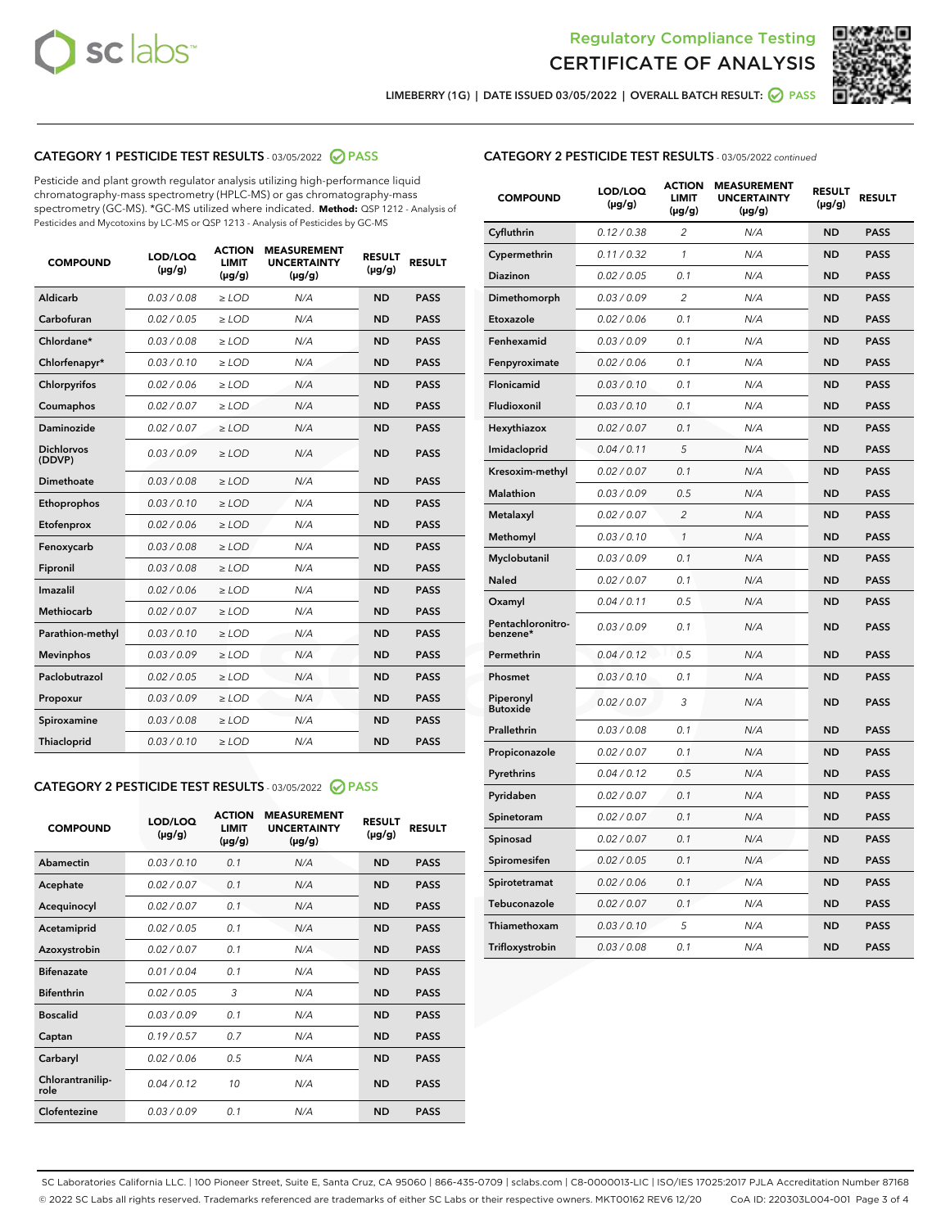



LIMEBERRY (1G) | DATE ISSUED 03/05/2022 | OVERALL BATCH RESULT: 2 PASS

# CATEGORY 1 PESTICIDE TEST RESULTS - 03/05/2022 2 PASS

Pesticide and plant growth regulator analysis utilizing high-performance liquid chromatography-mass spectrometry (HPLC-MS) or gas chromatography-mass spectrometry (GC-MS). \*GC-MS utilized where indicated. **Method:** QSP 1212 - Analysis of Pesticides and Mycotoxins by LC-MS or QSP 1213 - Analysis of Pesticides by GC-MS

| <b>COMPOUND</b>             | LOD/LOQ<br>$(\mu g/g)$ | <b>ACTION</b><br>LIMIT<br>$(\mu g/g)$ | <b>MEASUREMENT</b><br><b>UNCERTAINTY</b><br>$(\mu g/g)$ | <b>RESULT</b><br>$(\mu g/g)$ | <b>RESULT</b> |
|-----------------------------|------------------------|---------------------------------------|---------------------------------------------------------|------------------------------|---------------|
| Aldicarb                    | 0.03 / 0.08            | $\ge$ LOD                             | N/A                                                     | <b>ND</b>                    | <b>PASS</b>   |
| Carbofuran                  | 0.02 / 0.05            | $\ge$ LOD                             | N/A                                                     | <b>ND</b>                    | <b>PASS</b>   |
| Chlordane*                  | 0.03 / 0.08            | $\geq$ LOD                            | N/A                                                     | <b>ND</b>                    | <b>PASS</b>   |
| Chlorfenapyr*               | 0.03/0.10              | $\ge$ LOD                             | N/A                                                     | <b>ND</b>                    | <b>PASS</b>   |
| Chlorpyrifos                | 0.02/0.06              | $\ge$ LOD                             | N/A                                                     | <b>ND</b>                    | <b>PASS</b>   |
| Coumaphos                   | 0.02 / 0.07            | $\geq$ LOD                            | N/A                                                     | <b>ND</b>                    | <b>PASS</b>   |
| Daminozide                  | 0.02 / 0.07            | $>$ LOD                               | N/A                                                     | <b>ND</b>                    | <b>PASS</b>   |
| <b>Dichlorvos</b><br>(DDVP) | 0.03/0.09              | $\geq$ LOD                            | N/A                                                     | <b>ND</b>                    | <b>PASS</b>   |
| Dimethoate                  | 0.03/0.08              | $>$ LOD                               | N/A                                                     | <b>ND</b>                    | <b>PASS</b>   |
| Ethoprophos                 | 0.03/0.10              | $\ge$ LOD                             | N/A                                                     | <b>ND</b>                    | <b>PASS</b>   |
| Etofenprox                  | 0.02 / 0.06            | > LOD                                 | N/A                                                     | <b>ND</b>                    | <b>PASS</b>   |
| Fenoxycarb                  | 0.03/0.08              | $>$ LOD                               | N/A                                                     | <b>ND</b>                    | <b>PASS</b>   |
| Fipronil                    | 0.03 / 0.08            | $\geq$ LOD                            | N/A                                                     | <b>ND</b>                    | <b>PASS</b>   |
| Imazalil                    | 0.02 / 0.06            | $>$ LOD                               | N/A                                                     | <b>ND</b>                    | <b>PASS</b>   |
| <b>Methiocarb</b>           | 0.02 / 0.07            | $\ge$ LOD                             | N/A                                                     | <b>ND</b>                    | <b>PASS</b>   |
| Parathion-methyl            | 0.03/0.10              | $>$ LOD                               | N/A                                                     | <b>ND</b>                    | <b>PASS</b>   |
| <b>Mevinphos</b>            | 0.03/0.09              | $\geq$ LOD                            | N/A                                                     | <b>ND</b>                    | <b>PASS</b>   |
| Paclobutrazol               | 0.02 / 0.05            | $\ge$ LOD                             | N/A                                                     | <b>ND</b>                    | <b>PASS</b>   |
| Propoxur                    | 0.03/0.09              | $\geq$ LOD                            | N/A                                                     | <b>ND</b>                    | <b>PASS</b>   |
| Spiroxamine                 | 0.03 / 0.08            | $\ge$ LOD                             | N/A                                                     | <b>ND</b>                    | <b>PASS</b>   |
| Thiacloprid                 | 0.03/0.10              | $>$ LOD                               | N/A                                                     | <b>ND</b>                    | <b>PASS</b>   |
|                             |                        |                                       |                                                         |                              |               |

## CATEGORY 2 PESTICIDE TEST RESULTS - 03/05/2022 @ PASS

| <b>COMPOUND</b>          | LOD/LOO<br>$(\mu g/g)$ | <b>ACTION</b><br>LIMIT<br>$(\mu g/g)$ | <b>MEASUREMENT</b><br><b>UNCERTAINTY</b><br>$(\mu g/g)$ | <b>RESULT</b><br>$(\mu g/g)$ | <b>RESULT</b> |
|--------------------------|------------------------|---------------------------------------|---------------------------------------------------------|------------------------------|---------------|
| Abamectin                | 0.03/0.10              | 0.1                                   | N/A                                                     | <b>ND</b>                    | <b>PASS</b>   |
| Acephate                 | 0.02/0.07              | 0.1                                   | N/A                                                     | <b>ND</b>                    | <b>PASS</b>   |
| Acequinocyl              | 0.02/0.07              | 0.1                                   | N/A                                                     | <b>ND</b>                    | <b>PASS</b>   |
| Acetamiprid              | 0.02/0.05              | 0.1                                   | N/A                                                     | <b>ND</b>                    | <b>PASS</b>   |
| Azoxystrobin             | 0.02/0.07              | 0.1                                   | N/A                                                     | <b>ND</b>                    | <b>PASS</b>   |
| <b>Bifenazate</b>        | 0.01/0.04              | 0.1                                   | N/A                                                     | <b>ND</b>                    | <b>PASS</b>   |
| <b>Bifenthrin</b>        | 0.02 / 0.05            | 3                                     | N/A                                                     | <b>ND</b>                    | <b>PASS</b>   |
| <b>Boscalid</b>          | 0.03/0.09              | 0.1                                   | N/A                                                     | <b>ND</b>                    | <b>PASS</b>   |
| Captan                   | 0.19/0.57              | 0.7                                   | N/A                                                     | <b>ND</b>                    | <b>PASS</b>   |
| Carbaryl                 | 0.02/0.06              | 0.5                                   | N/A                                                     | <b>ND</b>                    | <b>PASS</b>   |
| Chlorantranilip-<br>role | 0.04/0.12              | 10                                    | N/A                                                     | <b>ND</b>                    | <b>PASS</b>   |
| Clofentezine             | 0.03/0.09              | 0.1                                   | N/A                                                     | <b>ND</b>                    | <b>PASS</b>   |

# CATEGORY 2 PESTICIDE TEST RESULTS - 03/05/2022 continued

| <b>COMPOUND</b>               | LOD/LOQ<br>(µg/g) | <b>ACTION</b><br><b>LIMIT</b><br>(µg/g) | <b>MEASUREMENT</b><br><b>UNCERTAINTY</b><br>$(\mu g/g)$ | <b>RESULT</b><br>(µg/g) | <b>RESULT</b> |
|-------------------------------|-------------------|-----------------------------------------|---------------------------------------------------------|-------------------------|---------------|
| Cyfluthrin                    | 0.12 / 0.38       | $\overline{c}$                          | N/A                                                     | <b>ND</b>               | <b>PASS</b>   |
| Cypermethrin                  | 0.11 / 0.32       | $\mathcal{I}$                           | N/A                                                     | <b>ND</b>               | <b>PASS</b>   |
| <b>Diazinon</b>               | 0.02 / 0.05       | 0.1                                     | N/A                                                     | <b>ND</b>               | <b>PASS</b>   |
| Dimethomorph                  | 0.03 / 0.09       | 2                                       | N/A                                                     | ND                      | <b>PASS</b>   |
| Etoxazole                     | 0.02 / 0.06       | 0.1                                     | N/A                                                     | ND                      | <b>PASS</b>   |
| Fenhexamid                    | 0.03 / 0.09       | 0.1                                     | N/A                                                     | <b>ND</b>               | <b>PASS</b>   |
| Fenpyroximate                 | 0.02 / 0.06       | 0.1                                     | N/A                                                     | <b>ND</b>               | <b>PASS</b>   |
| Flonicamid                    | 0.03 / 0.10       | 0.1                                     | N/A                                                     | <b>ND</b>               | <b>PASS</b>   |
| Fludioxonil                   | 0.03 / 0.10       | 0.1                                     | N/A                                                     | <b>ND</b>               | <b>PASS</b>   |
| Hexythiazox                   | 0.02 / 0.07       | 0.1                                     | N/A                                                     | <b>ND</b>               | <b>PASS</b>   |
| Imidacloprid                  | 0.04 / 0.11       | 5                                       | N/A                                                     | <b>ND</b>               | <b>PASS</b>   |
| Kresoxim-methyl               | 0.02 / 0.07       | 0.1                                     | N/A                                                     | ND                      | <b>PASS</b>   |
| <b>Malathion</b>              | 0.03 / 0.09       | 0.5                                     | N/A                                                     | <b>ND</b>               | <b>PASS</b>   |
| Metalaxyl                     | 0.02 / 0.07       | $\overline{c}$                          | N/A                                                     | <b>ND</b>               | <b>PASS</b>   |
| Methomyl                      | 0.03 / 0.10       | $\mathcal{I}$                           | N/A                                                     | ND                      | <b>PASS</b>   |
| Myclobutanil                  | 0.03 / 0.09       | 0.1                                     | N/A                                                     | <b>ND</b>               | <b>PASS</b>   |
| Naled                         | 0.02 / 0.07       | 0.1                                     | N/A                                                     | <b>ND</b>               | <b>PASS</b>   |
| Oxamyl                        | 0.04 / 0.11       | 0.5                                     | N/A                                                     | ND                      | <b>PASS</b>   |
| Pentachloronitro-<br>benzene* | 0.03 / 0.09       | 0.1                                     | N/A                                                     | <b>ND</b>               | <b>PASS</b>   |
| Permethrin                    | 0.04 / 0.12       | 0.5                                     | N/A                                                     | <b>ND</b>               | <b>PASS</b>   |
| Phosmet                       | 0.03 / 0.10       | 0.1                                     | N/A                                                     | ND                      | <b>PASS</b>   |
| Piperonyl<br><b>Butoxide</b>  | 0.02 / 0.07       | 3                                       | N/A                                                     | <b>ND</b>               | <b>PASS</b>   |
| Prallethrin                   | 0.03 / 0.08       | 0.1                                     | N/A                                                     | <b>ND</b>               | <b>PASS</b>   |
| Propiconazole                 | 0.02 / 0.07       | 0.1                                     | N/A                                                     | <b>ND</b>               | <b>PASS</b>   |
| Pyrethrins                    | 0.04 / 0.12       | 0.5                                     | N/A                                                     | <b>ND</b>               | <b>PASS</b>   |
| Pyridaben                     | 0.02 / 0.07       | 0.1                                     | N/A                                                     | <b>ND</b>               | <b>PASS</b>   |
| Spinetoram                    | 0.02 / 0.07       | 0.1                                     | N/A                                                     | <b>ND</b>               | <b>PASS</b>   |
| Spinosad                      | 0.02 / 0.07       | 0.1                                     | N/A                                                     | ND                      | <b>PASS</b>   |
| Spiromesifen                  | 0.02 / 0.05       | 0.1                                     | N/A                                                     | <b>ND</b>               | <b>PASS</b>   |
| Spirotetramat                 | 0.02 / 0.06       | 0.1                                     | N/A                                                     | <b>ND</b>               | <b>PASS</b>   |
| Tebuconazole                  | 0.02 / 0.07       | 0.1                                     | N/A                                                     | ND                      | <b>PASS</b>   |
| Thiamethoxam                  | 0.03 / 0.10       | 5                                       | N/A                                                     | <b>ND</b>               | <b>PASS</b>   |
| Trifloxystrobin               | 0.03 / 0.08       | 0.1                                     | N/A                                                     | <b>ND</b>               | <b>PASS</b>   |

SC Laboratories California LLC. | 100 Pioneer Street, Suite E, Santa Cruz, CA 95060 | 866-435-0709 | sclabs.com | C8-0000013-LIC | ISO/IES 17025:2017 PJLA Accreditation Number 87168 © 2022 SC Labs all rights reserved. Trademarks referenced are trademarks of either SC Labs or their respective owners. MKT00162 REV6 12/20 CoA ID: 220303L004-001 Page 3 of 4